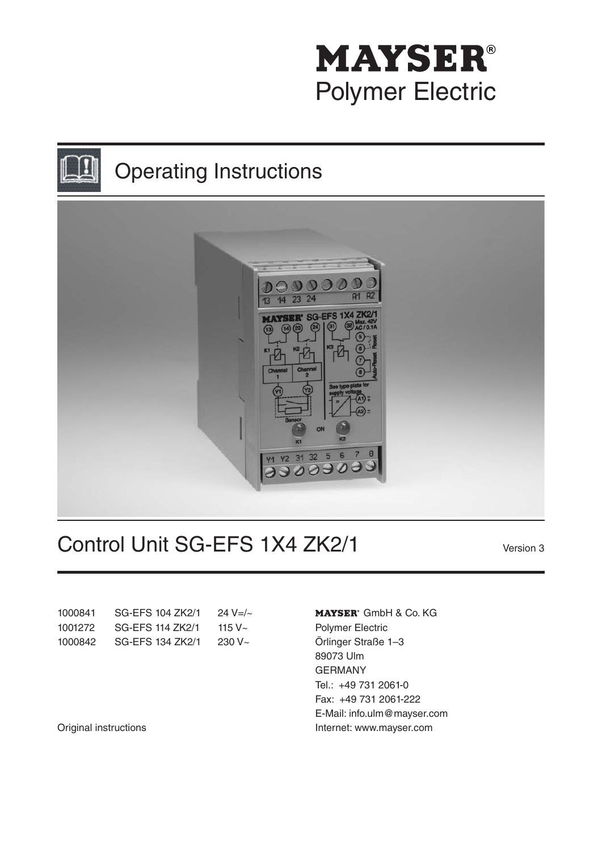# **MAYSER®** Polymer Electric





# Control Unit SG-EFS 1X4 ZK2/1

Version 3

| 1000841 | SG-EFS 104 ZK2/1 | 24 V=/ $\sim$ |
|---------|------------------|---------------|
| 1001272 | SG-EFS 114 ZK2/1 | 115 V $\sim$  |
| 1000842 | SG-EFS 134 ZK2/1 | $230V -$      |

MAYSER<sup>®</sup> GmbH & Co. KG Polymer Electric Örlinger Straße 1–3 89073 Ulm GERMANY Tel.: +49 731 2061-0 Fax: +49 731 2061-222 E-Mail: info.ulm@mayser.com Internet: www.mayser.com

Original instructions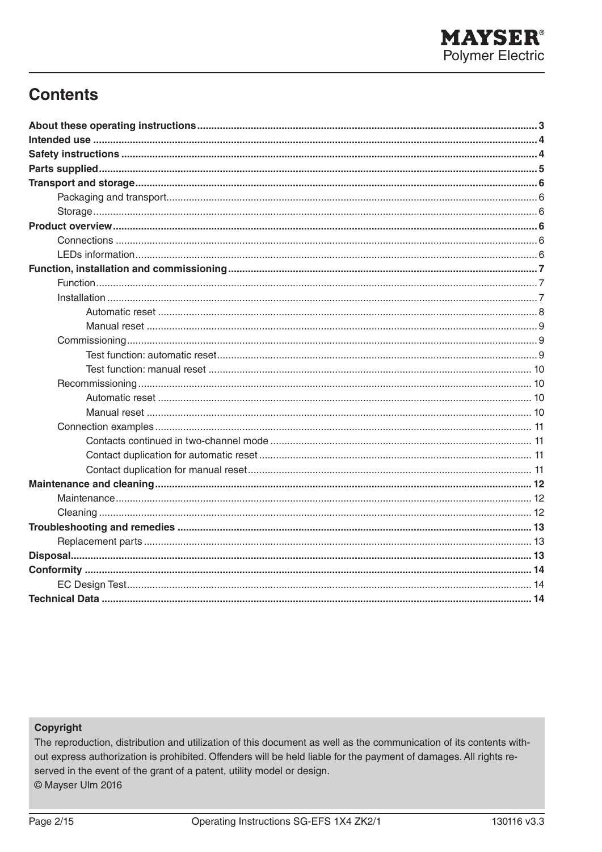# **Contents**

#### Copyright

The reproduction, distribution and utilization of this document as well as the communication of its contents without express authorization is prohibited. Offenders will be held liable for the payment of damages. All rights reserved in the event of the grant of a patent, utility model or design. © Mayser Ulm 2016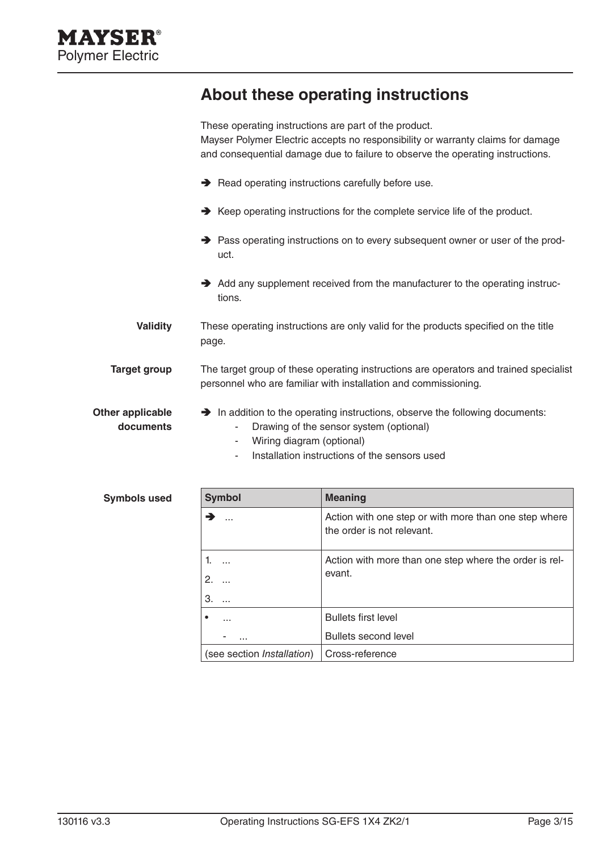# **About these operating instructions**

|                               | These operating instructions are part of the product.<br>Mayser Polymer Electric accepts no responsibility or warranty claims for damage<br>and consequential damage due to failure to observe the operating instructions. |  |  |
|-------------------------------|----------------------------------------------------------------------------------------------------------------------------------------------------------------------------------------------------------------------------|--|--|
|                               | Read operating instructions carefully before use.                                                                                                                                                                          |  |  |
|                               | → Keep operating instructions for the complete service life of the product.                                                                                                                                                |  |  |
|                               | → Pass operating instructions on to every subsequent owner or user of the prod-<br>uct.                                                                                                                                    |  |  |
|                               | Add any supplement received from the manufacturer to the operating instruc-<br>tions.                                                                                                                                      |  |  |
| <b>Validity</b>               | These operating instructions are only valid for the products specified on the title<br>page.                                                                                                                               |  |  |
| <b>Target group</b>           | The target group of these operating instructions are operators and trained specialist<br>personnel who are familiar with installation and commissioning.                                                                   |  |  |
| Other applicable<br>documents | A In addition to the operating instructions, observe the following documents:<br>Drawing of the sensor system (optional)<br>Wiring diagram (optional)<br>Installation instructions of the sensors used                     |  |  |

| <b>Symbols used</b> | <b>Symbol</b>                      | <b>Meaning</b>                                                                      |
|---------------------|------------------------------------|-------------------------------------------------------------------------------------|
|                     | →<br>.                             | Action with one step or with more than one step where<br>the order is not relevant. |
|                     | 1.<br>$\ddotsc$                    | Action with more than one step where the order is rel-                              |
|                     | 2.<br>$\cdots$                     | evant.                                                                              |
|                     | 3.<br>$\cdots$                     |                                                                                     |
|                     | ٠<br>$\cdots$                      | <b>Bullets first level</b>                                                          |
|                     | $\cdots$                           | <b>Bullets second level</b>                                                         |
|                     | (see section <i>Installation</i> ) | Cross-reference                                                                     |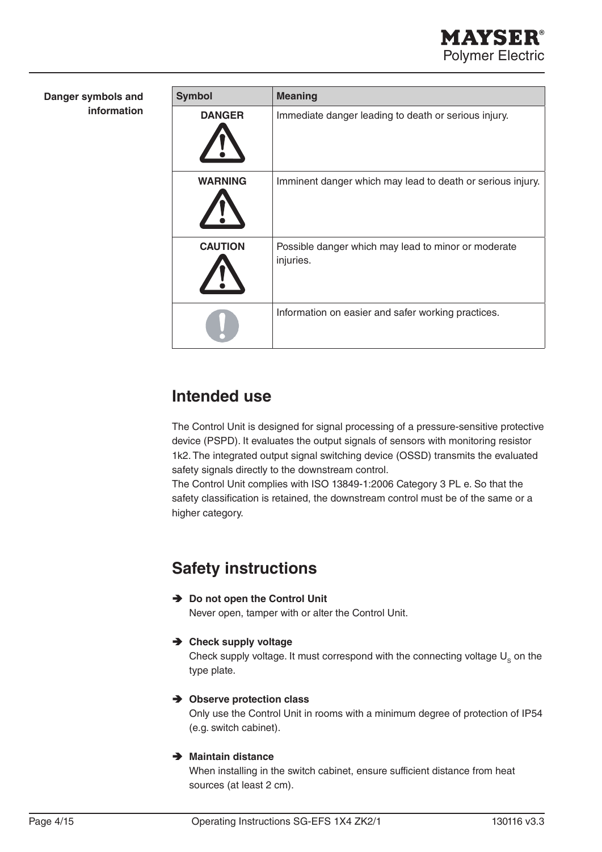| Danger symbols and<br>information | <b>Symbol</b>  | <b>Meaning</b>                                                   |
|-----------------------------------|----------------|------------------------------------------------------------------|
|                                   | <b>DANGER</b>  | Immediate danger leading to death or serious injury.             |
|                                   | <b>WARNING</b> | Imminent danger which may lead to death or serious injury.       |
|                                   | <b>CAUTION</b> | Possible danger which may lead to minor or moderate<br>injuries. |
|                                   |                | Information on easier and safer working practices.               |

# **Intended use**

The Control Unit is designed for signal processing of a pressure-sensitive protective device (PSPD). It evaluates the output signals of sensors with monitoring resistor 1k2. The integrated output signal switching device (OSSD) transmits the evaluated safety signals directly to the downstream control.

The Control Unit complies with ISO 13849-1:2006 Category 3 PL e. So that the safety classification is retained, the downstream control must be of the same or a higher category.

# **Safety instructions**

Ä **Do not open the Control Unit**

Never open, tamper with or alter the Control Unit.

Ä **Check supply voltage**

Check supply voltage. It must correspond with the connecting voltage  $U<sub>s</sub>$  on the type plate.

### Ä **Observe protection class**

Only use the Control Unit in rooms with a minimum degree of protection of IP54 (e.g. switch cabinet).

### Ä **Maintain distance**

When installing in the switch cabinet, ensure sufficient distance from heat sources (at least 2 cm).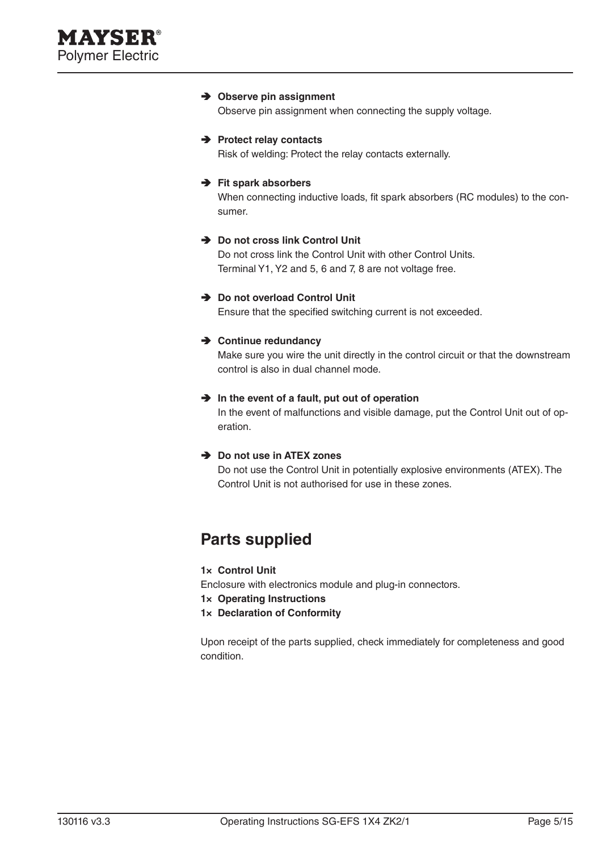#### Ä **Observe pin assignment**

Observe pin assignment when connecting the supply voltage.

#### Ä **Protect relay contacts**

Risk of welding: Protect the relay contacts externally.

#### Ä **Fit spark absorbers**

When connecting inductive loads, fit spark absorbers (RC modules) to the consumer.

#### Ä **Do not cross link Control Unit**

Do not cross link the Control Unit with other Control Units. Terminal Y1, Y2 and 5, 6 and 7, 8 are not voltage free.

#### Ä **Do not overload Control Unit**

Ensure that the specified switching current is not exceeded.

#### Ä **Continue redundancy**

Make sure you wire the unit directly in the control circuit or that the downstream control is also in dual channel mode.

#### $\rightarrow$  In the event of a fault, put out of operation

In the event of malfunctions and visible damage, put the Control Unit out of operation.

#### Ä **Do not use in ATEX zones**

Do not use the Control Unit in potentially explosive environments (ATEX). The Control Unit is not authorised for use in these zones.

### **Parts supplied**

#### **1× Control Unit**

Enclosure with electronics module and plug-in connectors.

- **1× Operating Instructions**
- **1× Declaration of Conformity**

Upon receipt of the parts supplied, check immediately for completeness and good condition.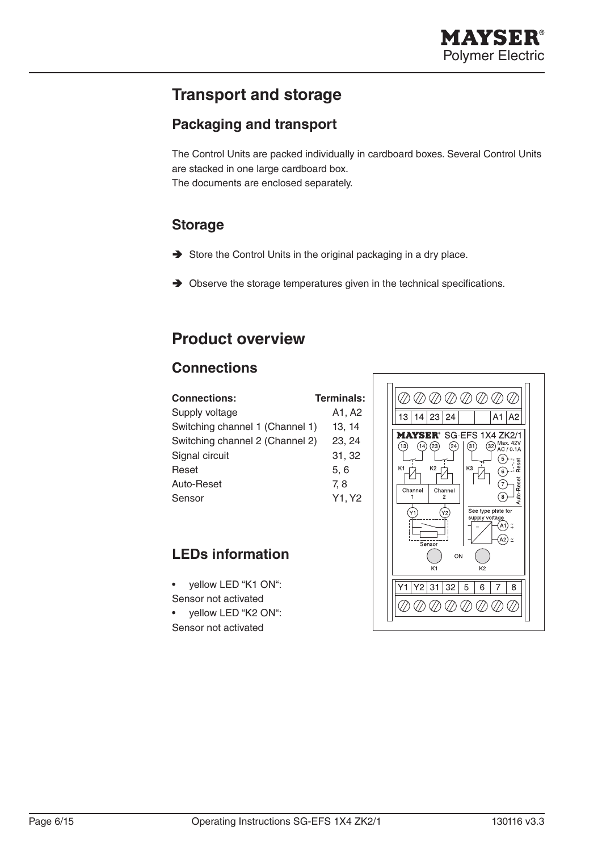# **Transport and storage**

### **Packaging and transport**

The Control Units are packed individually in cardboard boxes. Several Control Units are stacked in one large cardboard box. The documents are enclosed separately.

### **Storage**

- $\rightarrow$  Store the Control Units in the original packaging in a dry place.
- $\rightarrow$  Observe the storage temperatures given in the technical specifications.

# **Product overview**

### **Connections**

| <b>Connections:</b>             | <b>Terminals:</b> |
|---------------------------------|-------------------|
| Supply voltage                  | A1, A2            |
| Switching channel 1 (Channel 1) | 13.14             |
| Switching channel 2 (Channel 2) | 23, 24            |
| Signal circuit                  | 31, 32            |
| Reset                           | 5, 6              |
| Auto-Reset                      | 7.8               |
| Sensor                          | Y1, Y2            |
|                                 |                   |

### **LEDs information**

- yellow LED "K1 ON": Sensor not activated
- yellow LED "K2 ON": Sensor not activated

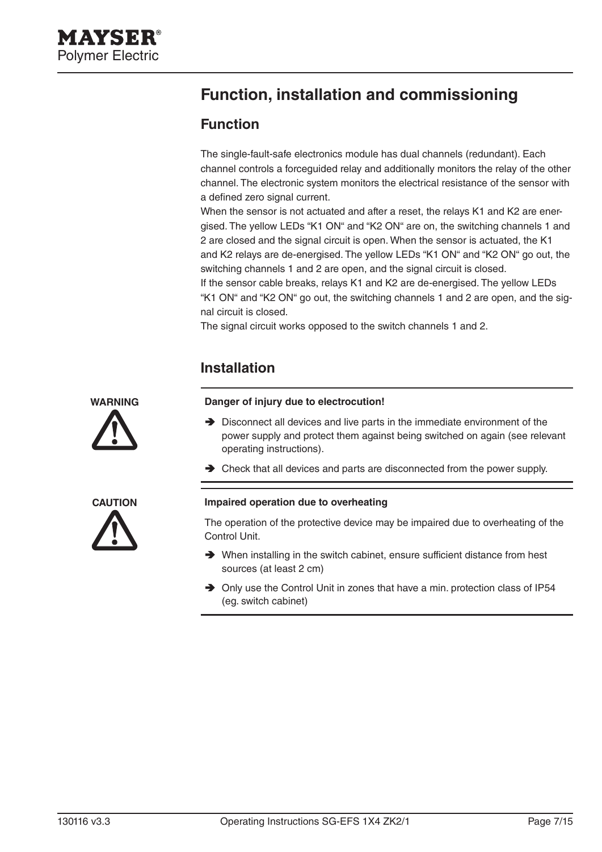# **Function, installation and commissioning**

### **Function**

The single-fault-safe electronics module has dual channels (redundant). Each channel controls a forceguided relay and additionally monitors the relay of the other channel. The electronic system monitors the electrical resistance of the sensor with a defined zero signal current.

When the sensor is not actuated and after a reset, the relays K1 and K2 are energised. The yellow LEDs "K1 ON" and "K2 ON" are on, the switching channels 1 and 2 are closed and the signal circuit is open. When the sensor is actuated, the K1 and K2 relays are de-energised. The yellow LEDs "K1 ON" and "K2 ON" go out, the switching channels 1 and 2 are open, and the signal circuit is closed.

If the sensor cable breaks, relays K1 and K2 are de-energised. The yellow LEDs "K1 ON" and "K2 ON" go out, the switching channels 1 and 2 are open, and the signal circuit is closed.

The signal circuit works opposed to the switch channels 1 and 2.

### **Installation**

# **WARNING**





#### **Danger of injury due to electrocution!**

- $\rightarrow$  Disconnect all devices and live parts in the immediate environment of the power supply and protect them against being switched on again (see relevant operating instructions).
- $\rightarrow$  Check that all devices and parts are disconnected from the power supply.

#### **Impaired operation due to overheating**

The operation of the protective device may be impaired due to overheating of the Control Unit.

- $\rightarrow$  When installing in the switch cabinet, ensure sufficient distance from hest sources (at least 2 cm)
- Ä Only use the Control Unit in zones that have a min. protection class of IP54 (eg. switch cabinet)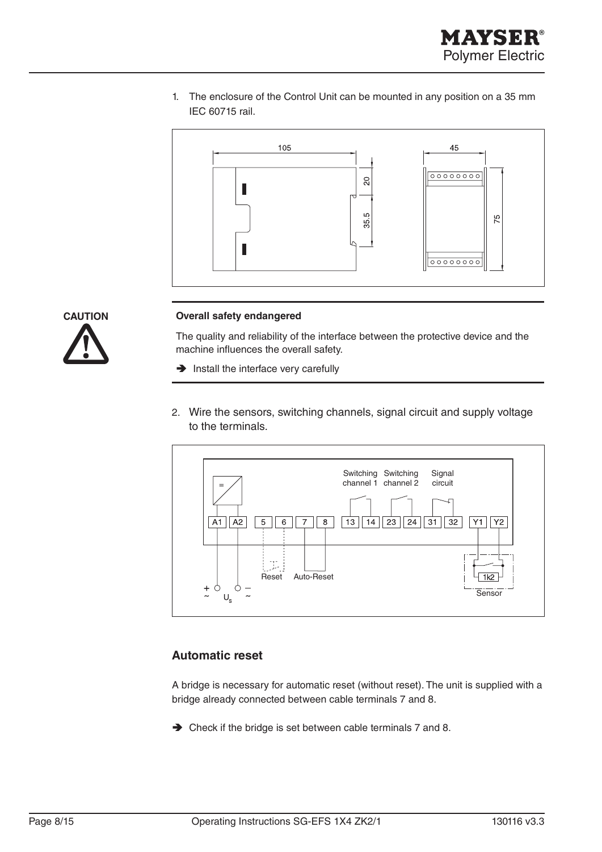1. The enclosure of the Control Unit can be mounted in any position on a 35 mm IEC 60715 rail.





#### **Overall safety endangered**

The quality and reliability of the interface between the protective device and the machine influences the overall safety.

- $\rightarrow$  Install the interface very carefully
- 2. Wire the sensors, switching channels, signal circuit and supply voltage to the terminals.



#### **Automatic reset**

A bridge is necessary for automatic reset (without reset). The unit is supplied with a bridge already connected between cable terminals 7 and 8.

 $\rightarrow$  Check if the bridge is set between cable terminals 7 and 8.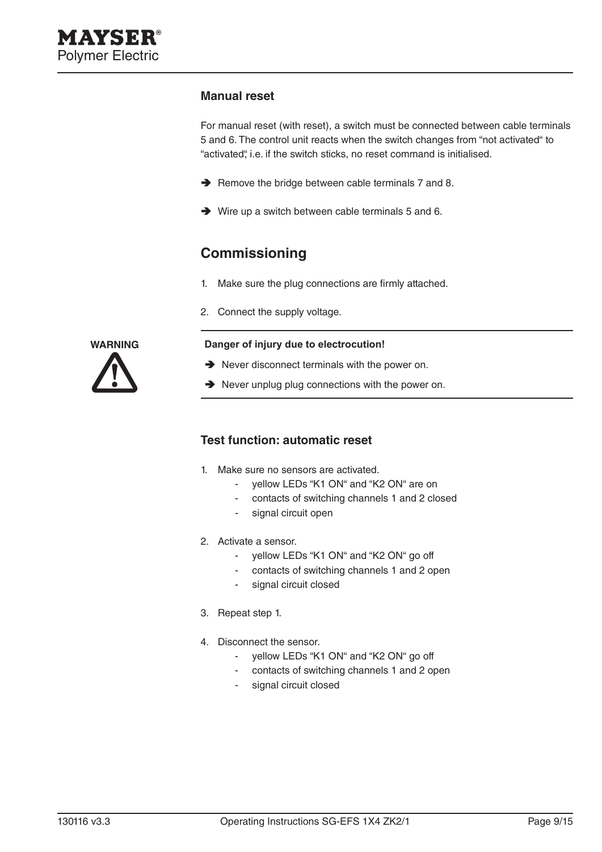#### **Manual reset**

For manual reset (with reset), a switch must be connected between cable terminals 5 and 6. The control unit reacts when the switch changes from "not activated" to "activated", i.e. if the switch sticks, no reset command is initialised.

- $\rightarrow$  Remove the bridge between cable terminals 7 and 8.
- $\rightarrow$  Wire up a switch between cable terminals 5 and 6.

### **Commissioning**

- 1. Make sure the plug connections are firmly attached.
- 2. Connect the supply voltage.

#### **Danger of injury due to electrocution!**

- $\rightarrow$  Never disconnect terminals with the power on.
- $\rightarrow$  Never unplug plug connections with the power on.

#### **Test function: automatic reset**

- 1. Make sure no sensors are activated.
	- yellow LEDs "K1 ON" and "K2 ON" are on
	- contacts of switching channels 1 and 2 closed
	- signal circuit open
- 2. Activate a sensor.
	- yellow LEDs "K1 ON" and "K2 ON" go off
	- contacts of switching channels 1 and 2 open
	- signal circuit closed
- 3. Repeat step 1.
- 4. Disconnect the sensor.
	- yellow LEDs "K1 ON" and "K2 ON" go off
	- contacts of switching channels 1 and 2 open
	- signal circuit closed

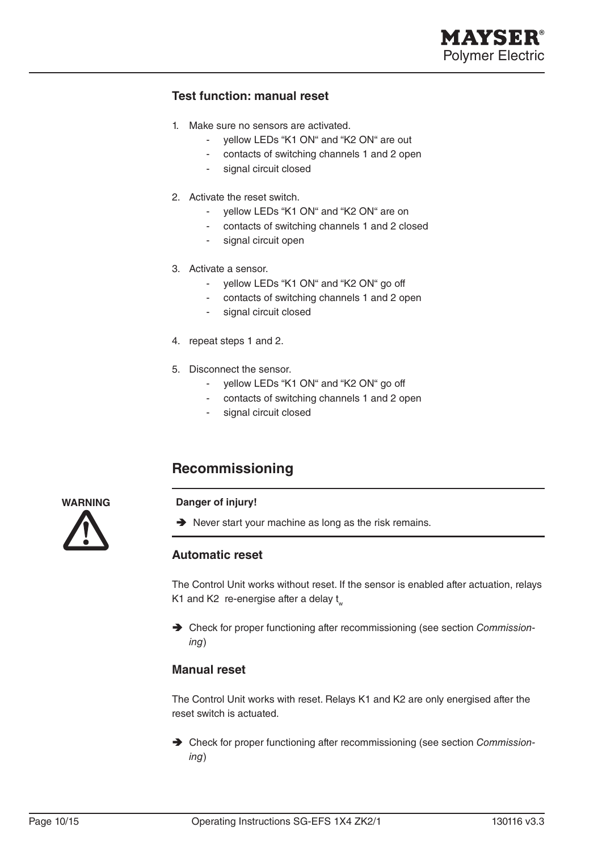

#### **Test function: manual reset**

- 1. Make sure no sensors are activated.
	- yellow LEDs "K1 ON" and "K2 ON" are out
	- contacts of switching channels 1 and 2 open
	- signal circuit closed
- 2. Activate the reset switch.
	- yellow LEDs "K1 ON" and "K2 ON" are on
	- contacts of switching channels 1 and 2 closed
	- signal circuit open
- 3. Activate a sensor.
	- vellow LEDs "K1 ON" and "K2 ON" go off
	- contacts of switching channels 1 and 2 open
	- signal circuit closed
- 4. repeat steps 1 and 2.
- 5. Disconnect the sensor.
	- yellow LEDs "K1 ON" and "K2 ON" go off
	- contacts of switching channels 1 and 2 open
	- signal circuit closed

### **Recommissioning**

#### **Danger of injury!**

 $\rightarrow$  Never start your machine as long as the risk remains.

#### **Automatic reset**

The Control Unit works without reset. If the sensor is enabled after actuation, relays K1 and K2 re-energise after a delay  $t_{av}$ 

Ä Check for proper functioning after recommissioning (see section *Commissioning*)

#### **Manual reset**

The Control Unit works with reset. Relays K1 and K2 are only energised after the reset switch is actuated.

Ä Check for proper functioning after recommissioning (see section *Commissioning*)

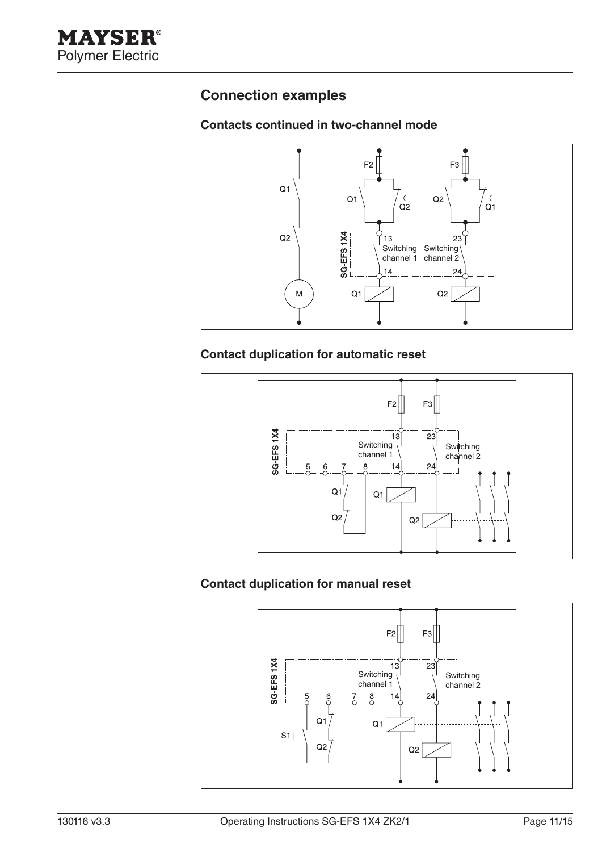### **Connection examples**

### **Contacts continued in two-channel mode**



### **Contact duplication for automatic reset**



### **Contact duplication for manual reset**

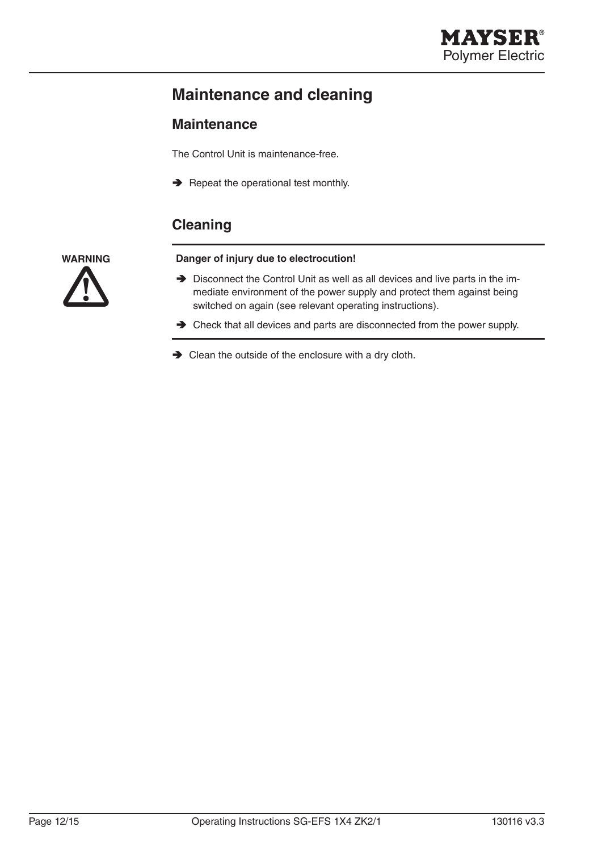# **Maintenance and cleaning**

### **Maintenance**

The Control Unit is maintenance-free.

 $\rightarrow$  Repeat the operational test monthly.

### **Cleaning**

**WARNING**

#### **Danger of injury due to electrocution!**

- $\rightarrow$  Disconnect the Control Unit as well as all devices and live parts in the immediate environment of the power supply and protect them against being switched on again (see relevant operating instructions).
- $\rightarrow$  Check that all devices and parts are disconnected from the power supply.
- $\rightarrow$  Clean the outside of the enclosure with a dry cloth.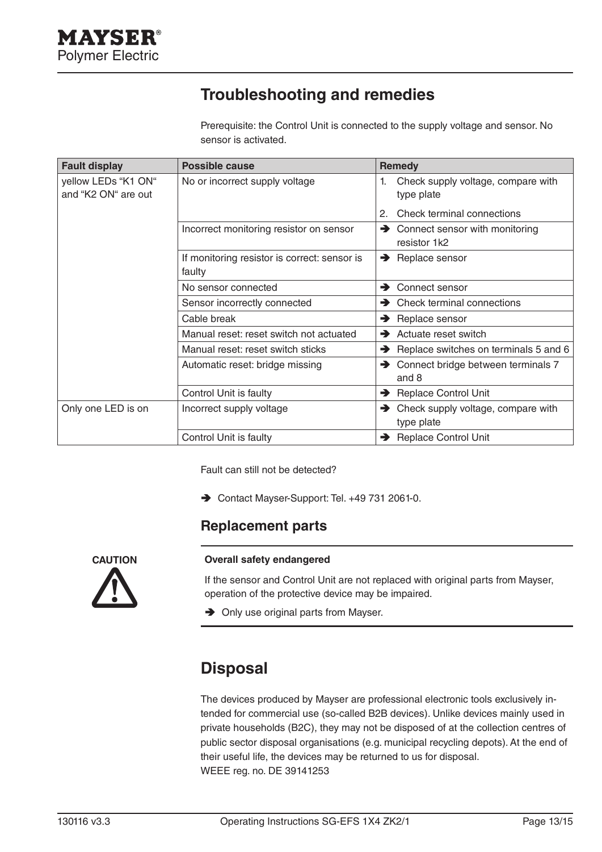# **Troubleshooting and remedies**

Prerequisite: the Control Unit is connected to the supply voltage and sensor. No sensor is activated.

| <b>Fault display</b>                       | <b>Possible cause</b>                                  | <b>Remedy</b>                                          |
|--------------------------------------------|--------------------------------------------------------|--------------------------------------------------------|
| yellow LEDs "K1 ON"<br>and "K2 ON" are out | No or incorrect supply voltage                         | Check supply voltage, compare with<br>1.<br>type plate |
|                                            |                                                        | Check terminal connections                             |
|                                            | Incorrect monitoring resistor on sensor                | Connect sensor with monitoring<br>→<br>resistor 1k2    |
|                                            | If monitoring resistor is correct: sensor is<br>faulty | $\rightarrow$ Replace sensor                           |
|                                            | No sensor connected                                    | Connect sensor<br>$\rightarrow$                        |
|                                            | Sensor incorrectly connected                           | $\rightarrow$ Check terminal connections               |
|                                            | Cable break                                            | $\rightarrow$ Replace sensor                           |
|                                            | Manual reset: reset switch not actuated                | $\rightarrow$ Actuate reset switch                     |
|                                            | Manual reset: reset switch sticks                      | Replace switches on terminals 5 and 6                  |
|                                            | Automatic reset: bridge missing                        | → Connect bridge between terminals 7<br>and 8          |
|                                            | Control Unit is faulty                                 | Replace Control Unit                                   |
| Only one LED is on                         | Incorrect supply voltage                               | Check supply voltage, compare with<br>type plate       |
|                                            | Control Unit is faulty                                 | Replace Control Unit                                   |

Fault can still not be detected?

Ä Contact Mayser-Support: Tel. +49 731 2061-0.

### **Replacement parts**



#### **Overall safety endangered**

If the sensor and Control Unit are not replaced with original parts from Mayser, operation of the protective device may be impaired.

 $\rightarrow$  Only use original parts from Mayser.

### **Disposal**

The devices produced by Mayser are professional electronic tools exclusively intended for commercial use (so-called B2B devices). Unlike devices mainly used in private households (B2C), they may not be disposed of at the collection centres of public sector disposal organisations (e.g. municipal recycling depots). At the end of their useful life, the devices may be returned to us for disposal. WEEE reg. no. DE 39141253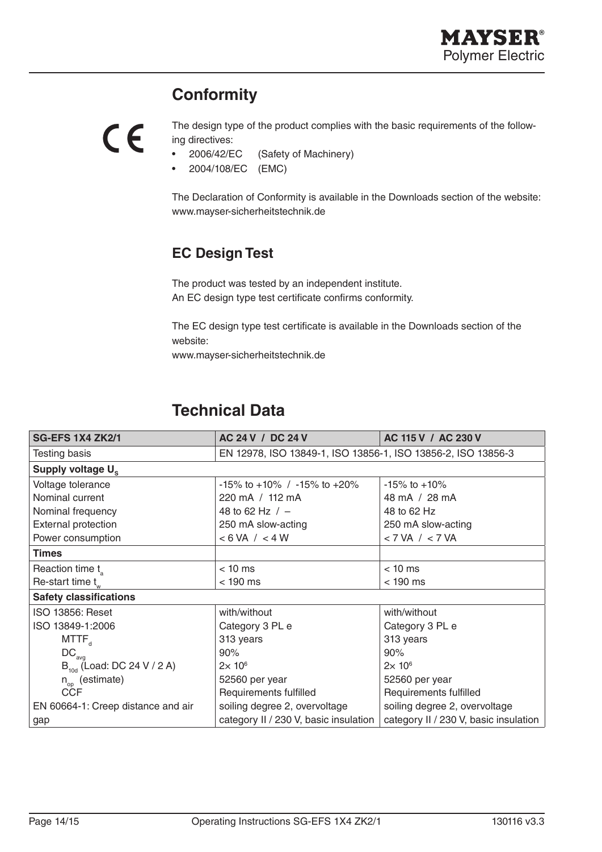# **Conformity**



The design type of the product complies with the basic requirements of the following directives:

- 2006/42/EC (Safety of Machinery)
- 2004/108/EC (EMC)

The Declaration of Conformity is available in the Downloads section of the website: www.mayser-sicherheitstechnik.de

### **EC Design Test**

The product was tested by an independent institute. An EC design type test certificate confirms conformity.

The EC design type test certificate is available in the Downloads section of the website:

www.mayser-sicherheitstechnik.de

# **Technical Data**

| <b>SG-EFS 1X4 ZK2/1</b>            | AC 24 V / DC 24 V                                            | AC 115 V / AC 230 V                   |
|------------------------------------|--------------------------------------------------------------|---------------------------------------|
| <b>Testing basis</b>               | EN 12978, ISO 13849-1, ISO 13856-1, ISO 13856-2, ISO 13856-3 |                                       |
| Supply voltage $U_s$               |                                                              |                                       |
| Voltage tolerance                  | $-15\%$ to $+10\%$ / $-15\%$ to $+20\%$                      | $-15\%$ to $+10\%$                    |
| Nominal current                    | 220 mA / 112 mA                                              | 48 mA / 28 mA                         |
| Nominal frequency                  | 48 to 62 Hz $/ -$                                            | 48 to 62 Hz                           |
| <b>External protection</b>         | 250 mA slow-acting                                           | 250 mA slow-acting                    |
| Power consumption                  | < 6 VA / < 4 W                                               | $<$ 7 VA $/$ < 7 VA                   |
| <b>Times</b>                       |                                                              |                                       |
| Reaction time t                    | $< 10$ ms                                                    | $< 10$ ms                             |
| Re-start time $t_w$                | $<$ 190 ms                                                   | $<$ 190 ms                            |
| <b>Safety classifications</b>      |                                                              |                                       |
| ISO 13856: Reset                   | with/without                                                 | with/without                          |
| ISO 13849-1:2006                   | Category 3 PL e                                              | Category 3 PL e                       |
| $MTTF_{d}$                         | 313 years                                                    | 313 years                             |
| $DC_{\text{ava}}$                  | 90%                                                          | 90%                                   |
| $B_{10d}$ (Load: DC 24 V / 2 A)    | $2\times 10^6$                                               | $2\times 10^6$                        |
| $n_{op}$ (estimate)                | 52560 per year                                               | 52560 per year                        |
| <b>CCF</b>                         | Requirements fulfilled                                       | Requirements fulfilled                |
| EN 60664-1: Creep distance and air | soiling degree 2, overvoltage                                | soiling degree 2, overvoltage         |
| gap                                | category II / 230 V, basic insulation                        | category II / 230 V, basic insulation |